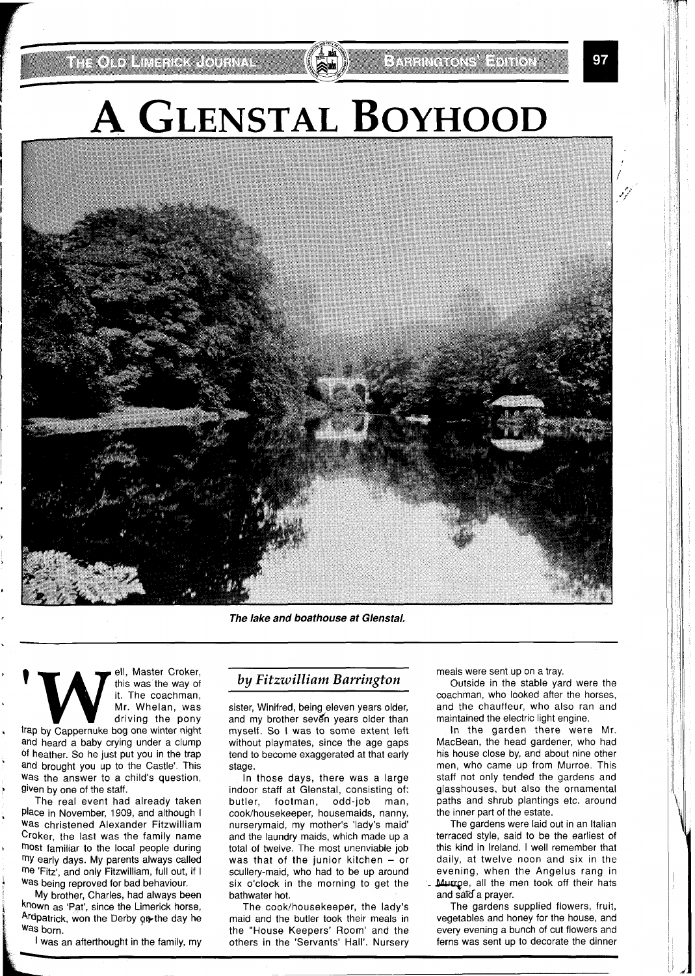**THE ORD HIMESICK LOURNAL** 

97

# **A GLENSTAL BOYHOOD**

**The lake and boathouse at Glenstal,** 

**THE CROOK CONSTRANS (THE WASTER OF A THE WASTER OF A THE COACHTRANS (THE COACHTRANS ATTACK)**<br>
Trap by Cappernuke bog one winter night this was the way of it. The coachman, Mr. Whelan, was driving the pony

and heard a baby crying under a clump of heather. So he just put you in the trap and brought you up to the Castle'. This Was the answer to a child's question, given by one of the staff.

The real event had already taken Place in November, 1909, and although I was christened Alexander Fitzwilliam Croker, the last was the family name most familiar to the local people during my early days. My parents always called me 'Fitz', and only Fitzwilliam, full out, if I Was being reproved for bad behaviour.

My brother, Charles, had always been known as 'Pat', since the Limerick horse, Ardpatrick, won the Derby on the day he was born.

I was an afterthought in the family, my

#### *by Fitzwilliam Barrington*

sister, Winifred, being eleven years older, and my brother seven years older than myself. So I was to some extent left without playmates, since the age gaps tend to become exaggerated at that early stage.

In those days, there was a large indoor staff at Glenstal, consisting of: butler, footman, odd-job man, cook/housekeeper, housemaids, nanny, nurserymaid, my mother's 'lady's maid' and the laundry maids, which made up a total of twelve. The most unenviable job was that of the junior kitchen  $-$  or scullery-maid, who had to be up around six o'clock in the morning to get the bathwater hot.

The cook/housekeeper, the lady's maid and the butler took their meals in the "House Keepers' Room' and the others in the 'Servants' Hall'. Nursery

meals were sent up on a tray.

Outside in the stable yard were the coachman, who looked after the horses, and the chauffeur, who also ran and maintained the electric light engine.

In the garden there were Mr. MacBean, the head gardener, who had his house close by, and about nine other men, who came up from Murroe. This staff not only tended the gardens and glasshouses, but also the ornamental paths and shrub plantings etc. around the inner part of the estate.

The gardens were laid out in an Italian terraced style, said to be the earliest of this kind in Ireland. I well remember that daily, at twelve noon and six in the evening, when the Angelus rang in Mutroe, all the men took off their hats and said a prayer.

The gardens supplied flowers, fruit, vegetables and honey for the house, and every evening a bunch of cut flowers and ferns was sent up to decorate the dinner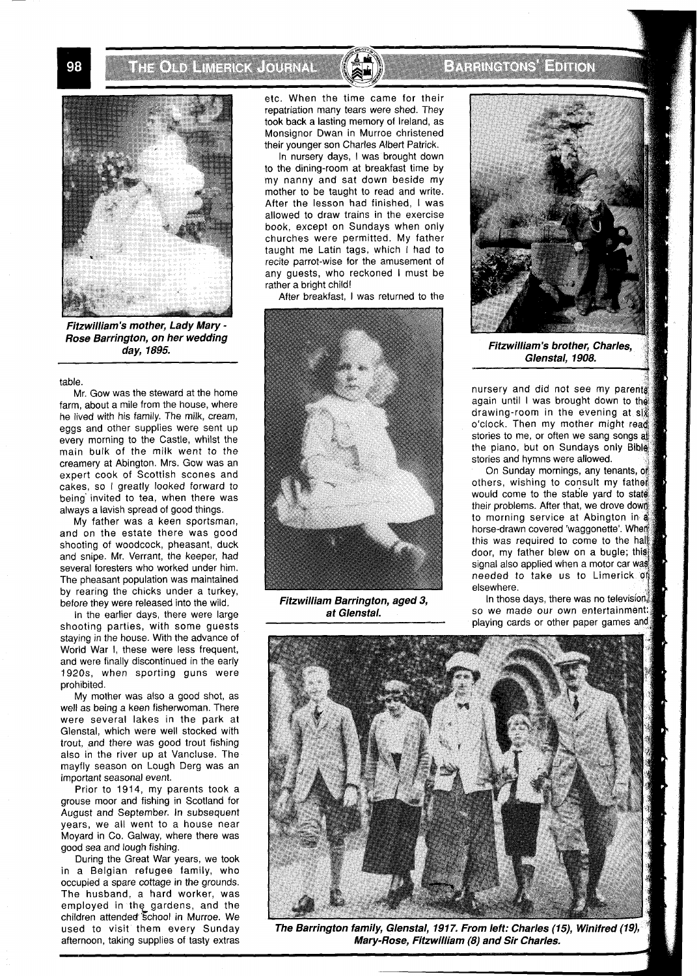**THOTO RESIGN COPINAL** 



**Fitzwilliam's mother, Lady Mary** - **Rose Barrington, on her wedding day, 1895.** 

table.

Mr. Gow was the steward at the home farm, about a mile from the house, where he lived with his family. The milk, cream, eggs and other supplies were sent up every morning to the Castle, whilst the main bulk of the milk went to the creamery at Abington. Mrs. Gow was an expert cook of Scottish scones and cakes, so I greatly looked forward to being' invited to tea, when there was always a lavish spread of good things.

My father was a keen sportsman, and on the estate there was good shooting of woodcock, pheasant, duck and snipe. Mr. Verrant, the keeper, had several foresters who worked under him. The pheasant population was maintained by rearing the chicks under a turkey, before they were released into the wild.

In the earlier days, there were large shooting parties, with some guests staying in the house. With the advance of World War I, these were less frequent, and were finally discontinued in the early 1920s, when sporting guns were prohibited.

My mother was also a good shot, as well as being a keen fisherwoman. There were several lakes in the park at Glenstal, which were well stocked with trout, and there was good trout fishing also in the river up at Vancluse. The mayfly season on Lough Derg was an important seasonal event.

Prior to 1914, my parents took a grouse moor and fishing in Scotland for August and September. In subsequent years, we all went to a house near Moyard in Co. Galway, where there was good sea and lough fishing.

During the Great War years, we took in a Belgian refugee family, who occupied a spare cottage in the grounds. The husband, a hard worker, was employed in the\_ gardens, and the children attended School in Murroe. We used to visit them every Sunday afternoon, taking supplies of tasty extras

etc. When the time came for their repatriation many tears were shed. They took back a lasting memory of Ireland, as Monsignor Dwan in Murroe christened their younger son Charles Albert Patrick.

In nursery days, I was brought down to the dining-room at breakfast time by my nanny and sat down beside my mother to be taught to read and write. After the lesson had finished, I was allowed to draw trains in the exercise book, except on Sundays when only churches were permitted. My father taught me Latin tags, which I had to recite parrot-wise for the amusement of any guests, who reckoned I must be rather a bright child!

After breakfast, I was returned to the



**Fitzwilliam Barrington, aged 3, at Glenstal.** 

### EXRING ONE HUIGN



Fitzwilliam's brother, Charles. Glenstal, 1908.

nursery and did not see my parents again until I was brought down to the drawing-room in the evening at six o'clock. Then my mother might read stories to me, or often we sang songs at the piano, but on Sundays only Bible stories and hymns were allowed.

On Sunday mornings, any tenants, of others, wishing to consult my father would come to the stable yard to state their problems. After that, we drove down to morning service at Abington in a horse-drawn covered 'waggonette'. When this was required to come to the hall door, my father blew on a bugle; this signal also applied when a motor car was needed to take us to Limerick of elsewhere.

In those days, there was no television. so we made our own entertainm playing cards or other paper games and



The Barrington family, Glenstal, 1917. From left: Charles (15), Winifred (19), Mary-Rose, Fitzwilliam (8) and Sir Charles.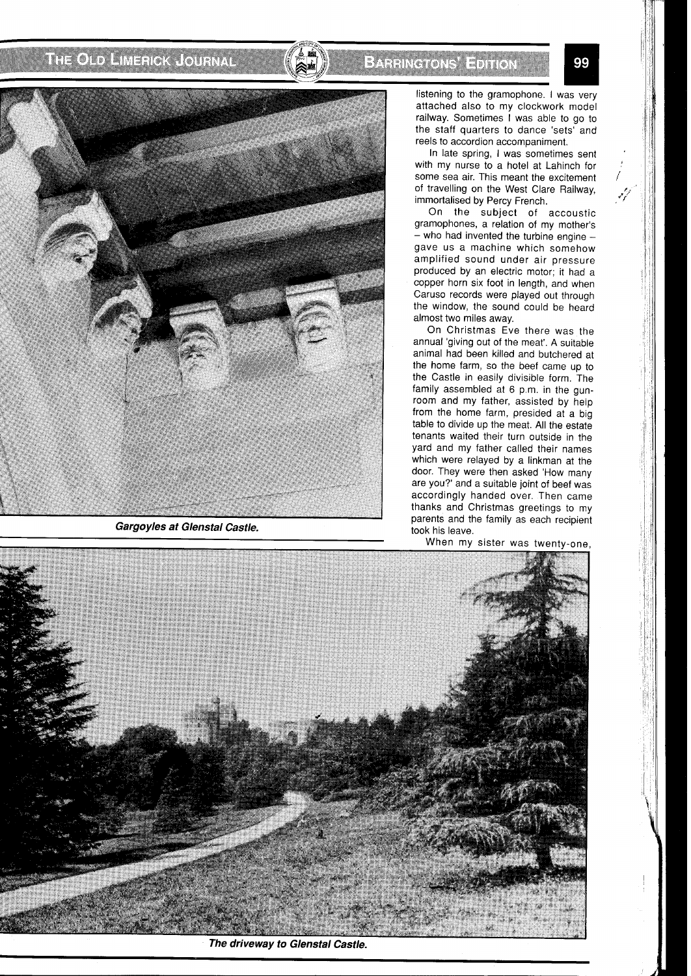## THE OLD AMERICA LOURNAL

## BAHHKCKONS EDHON



**Gargoyles at Glenstal Castle.** 

listening to the gramophone. I was very attached also to my clockwork model railway. Sometimes I was able to go to the staff quarters to dance 'sets' and reels to accordion accompaniment.

In late spring, I was sometimes sent with my nurse to a hotel at Lahinch for some sea air. This meant the excitement of travelling on the West Clare Railway, immortalised by Percy French.

On the subject of accoustic gramophones, a relation of my mother's  $-$  who had invented the turbine engine  $$ gave us a machine which somehow amplified sound under air pressure produced by an electric motor; it had a copper horn six foot in length, and when Caruso records were played out through the window, the sound could be heard almost two miles away.

On Christmas Eve there was the annual 'giving out of the meat'. A suitable animal had been killed and butchered at the home farm, so the beef came up to the Castle in easily divisible form. The family assembled at 6 p.m. in the gunroom and my father, assisted by help from the home farm, presided at a big table to divide up the meat. All the estate tenants waited their turn outside in the yard and my father called their names which were relayed by a linkman at the door. They were then asked 'How many are you?' and a suitable joint of beef was accordingly handed over. Then came thanks and Christmas greetings to my parents and the family as each recipient took his leave.

When my sister was twenty-one,



The driveway to Glenstal Castle.